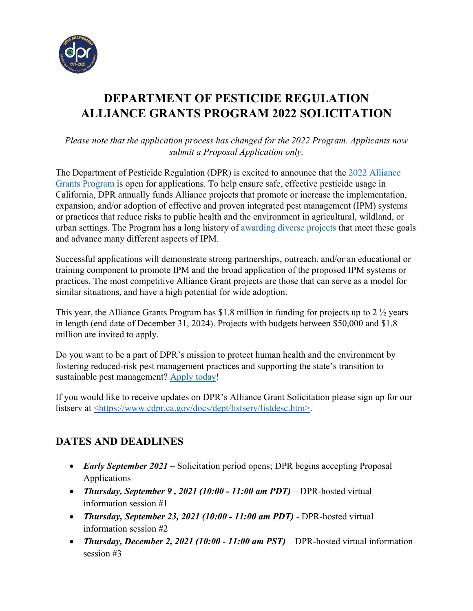

# **DEPARTMENT OF PESTICIDE REGULATION ALLIANCE GRANTS PROGRAM 2022 SOLICITATION**

*Please note that the application process has changed for the 2022 Program. Applicants now submit a Proposal Application only.* 

The Department of Pesticide Regulation (DPR) is excited to announce that the [2022 Alliance](https://cdpr.ca.gov/docs/pestmgt/grants/alliance/index.htm)  [Grants Program](https://cdpr.ca.gov/docs/pestmgt/grants/alliance/index.htm) is open for applications. To help ensure safe, effective pesticide usage in California, DPR annually funds Alliance projects that promote or increase the implementation, expansion, and/or adoption of effective and proven integrated pest management (IPM) systems or practices that reduce risks to public health and the environment in agricultural, wildland, or urban settings. The Program has a long history of [awarding diverse projects](https://www.cdpr.ca.gov/docs/pestmgt/grants/funded.htm) that meet these goals and advance many different aspects of IPM.

Successful applications will demonstrate strong partnerships, outreach, and/or an educational or training component to promote IPM and the broad application of the proposed IPM systems or practices. The most competitive Alliance Grant projects are those that can serve as a model for similar situations, and have a high potential for wide adoption.

This year, the Alliance Grants Program has \$1.8 million in funding for projects up to 2 ½ years in length (end date of December 31, 2024). Projects with budgets between \$50,000 and \$1.8 million are invited to apply.

Do you want to be a part of DPR's mission to protect human health and the environment by fostering reduced-risk pest management practices and supporting the state's transition to sustainable pest management? [Apply today!](https://www.cdpr.ca.gov/docs/pestmgt/grants/alliance/app_materials.htm)

If you would like to receive updates on DPR's Alliance Grant Solicitation please sign up for our listserv at [<https://www.cdpr.ca.gov/docs/dept/listserv/listdesc.htm>.](https://www.cdpr.ca.gov/docs/dept/listserv/listdesc.htm)

### **DATES AND DEADLINES**

- *Early September 2021* Solicitation period opens; DPR begins accepting Proposal Applications
- *Thursday, September 9 , 2021 (10:00 11:00 am PDT)* DPR-hosted virtual information session #1
- *Thursday, September 23, 2021 (10:00 11:00 am PDT)* DPR-hosted virtual information session #2
- *Thursday, December 2, 2021 (10:00 11:00 am PST)* DPR-hosted virtual information session #3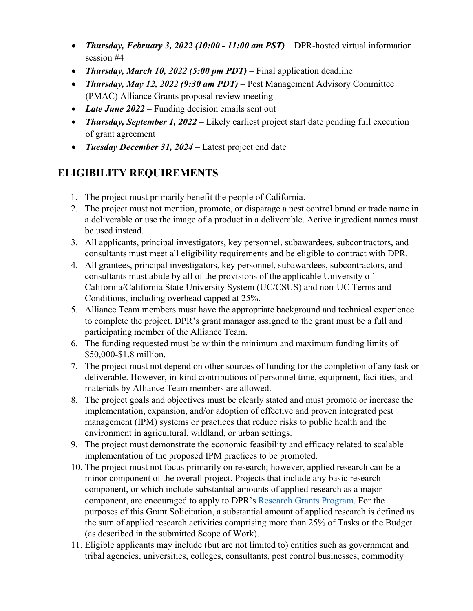- *Thursday, February 3, 2022 (10:00 11:00 am PST)* DPR-hosted virtual information session #4
- *Thursday, March 10, 2022 (5:00 pm PDT)* Final application deadline
- *Thursday, May 12, 2022 (9:30 am PDT)* Pest Management Advisory Committee (PMAC) Alliance Grants proposal review meeting
- Late June 2022 Funding decision emails sent out
- *Thursday, September 1, 2022* Likely earliest project start date pending full execution of grant agreement
- *Tuesday December 31, 2024* Latest project end date

# **ELIGIBILITY REQUIREMENTS**

- 1. The project must primarily benefit the people of California.
- 2. The project must not mention, promote, or disparage a pest control brand or trade name in a deliverable or use the image of a product in a deliverable. Active ingredient names must be used instead.
- 3. All applicants, principal investigators, key personnel, subawardees, subcontractors, and consultants must meet all eligibility requirements and be eligible to contract with DPR.
- 4. All grantees, principal investigators, key personnel, subawardees, subcontractors, and consultants must abide by all of the provisions of the applicable University of California/California State University System (UC/CSUS) and non-UC Terms and Conditions, including overhead capped at 25%.
- 5. Alliance Team members must have the appropriate background and technical experience to complete the project. DPR's grant manager assigned to the grant must be a full and participating member of the Alliance Team.
- 6. The funding requested must be within the minimum and maximum funding limits of \$50,000-\$1.8 million.
- 7. The project must not depend on other sources of funding for the completion of any task or deliverable. However, in-kind contributions of personnel time, equipment, facilities, and materials by Alliance Team members are allowed.
- 8. The project goals and objectives must be clearly stated and must promote or increase the implementation, expansion, and/or adoption of effective and proven integrated pest management (IPM) systems or practices that reduce risks to public health and the environment in agricultural, wildland, or urban settings.
- 9. The project must demonstrate the economic feasibility and efficacy related to scalable implementation of the proposed IPM practices to be promoted.
- 10. The project must not focus primarily on research; however, applied research can be a minor component of the overall project. Projects that include any basic research component, or which include substantial amounts of applied research as a major component, are encouraged to apply to DPR's [Research Grants Program.](https://www.cdpr.ca.gov/docs/pestmgt/grants/research/index.htm) For the purposes of this Grant Solicitation, a substantial amount of applied research is defined as the sum of applied research activities comprising more than 25% of Tasks or the Budget (as described in the submitted Scope of Work).
- 11. Eligible applicants may include (but are not limited to) entities such as government and tribal agencies, universities, colleges, consultants, pest control businesses, commodity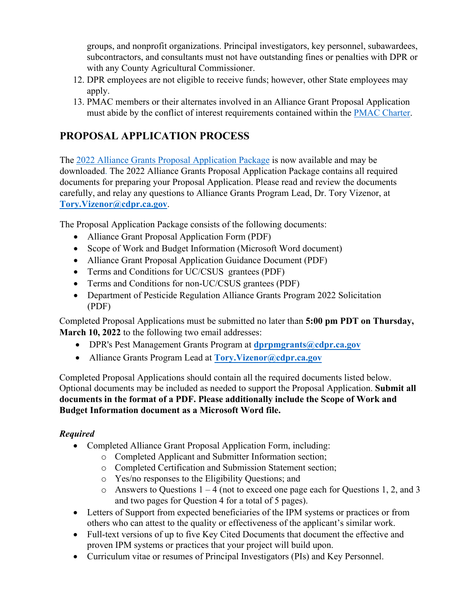groups, and nonprofit organizations. Principal investigators, key personnel, subawardees, subcontractors, and consultants must not have outstanding fines or penalties with DPR or with any County Agricultural Commissioner.

- 12. DPR employees are not eligible to receive funds; however, other State employees may apply.
- 13. PMAC members or their alternates involved in an Alliance Grant Proposal Application must abide by the conflict of interest requirements contained within the [PMAC Charter.](https://www.cdpr.ca.gov/docs/dept/pmac/charter.pdf)

## **PROPOSAL APPLICATION PROCESS**

The [2022 Alliance Grants Proposal Application Package](https://www.cdpr.ca.gov/docs/pestmgt/grants/alliance/app_materials.htm) is now available and may be downloaded. The 2022 Alliance Grants Proposal Application Package contains all required documents for preparing your Proposal Application. Please read and review the documents carefully, and relay any questions to Alliance Grants Program Lead, Dr. Tory Vizenor, at **[Tory.Vizenor@cdpr.ca.gov](mailto:Tory.Vizenor@cdpr.ca.gov)**.

The Proposal Application Package consists of the following documents:

- Alliance Grant Proposal Application Form (PDF)
- Scope of Work and Budget Information (Microsoft Word document)
- Alliance Grant Proposal Application Guidance Document (PDF)
- Terms and Conditions for UC/CSUS grantees (PDF)
- Terms and Conditions for non-UC/CSUS grantees (PDF)
- Department of Pesticide Regulation Alliance Grants Program 2022 Solicitation (PDF)

Completed Proposal Applications must be submitted no later than **5:00 pm PDT on Thursday, March 10, 2022** to the following two email addresses:

- DPR's Pest Management Grants Program at **d[prpmgrants@cdpr.ca.gov](mailto:dprpmgrants@cdpr.ca.gov)**
- Alliance Grants Program Lead at **[Tory.Vizenor@cdpr.ca.gov](mailto:Tory.Vizenor@cdpr.ca.gov)**

Completed Proposal Applications should contain all the required documents listed below. Optional documents may be included as needed to support the Proposal Application. **Submit all documents in the format of a PDF. Please additionally include the Scope of Work and Budget Information document as a Microsoft Word file.**

### *Required*

- Completed Alliance Grant Proposal Application Form, including:
	- o Completed Applicant and Submitter Information section;
	- o Completed Certification and Submission Statement section;
	- o Yes/no responses to the Eligibility Questions; and
	- $\circ$  Answers to Questions 1 4 (not to exceed one page each for Questions 1, 2, and 3 and two pages for Question 4 for a total of 5 pages).
- Letters of Support from expected beneficiaries of the IPM systems or practices or from others who can attest to the quality or effectiveness of the applicant's similar work.
- Full-text versions of up to five Key Cited Documents that document the effective and proven IPM systems or practices that your project will build upon.
- Curriculum vitae or resumes of Principal Investigators (PIs) and Key Personnel.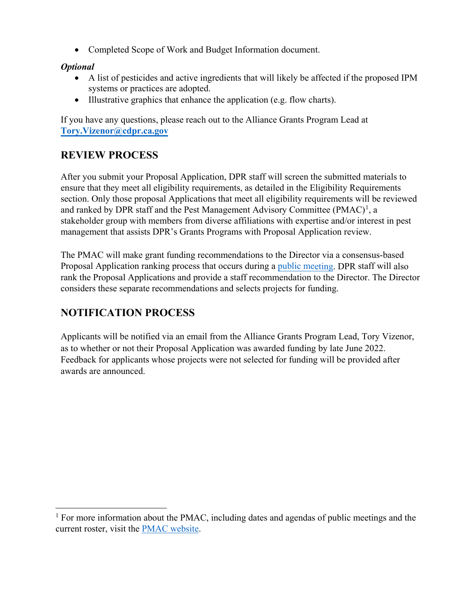• Completed Scope of Work and Budget Information document.

#### *Optional*

- A list of pesticides and active ingredients that will likely be affected if the proposed IPM systems or practices are adopted.
- Illustrative graphics that enhance the application (e.g. flow charts).

If you have any questions, please reach out to the Alliance Grants Program Lead at **[Tory.Vizenor@cdpr.ca.gov](mailto:Tory.Vizenor@cdpr.ca.gov)** 

### **REVIEW PROCESS**

After you submit your Proposal Application, DPR staff will screen the submitted materials to ensure that they meet all eligibility requirements, as detailed in the Eligibility Requirements section. Only those proposal Applications that meet all eligibility requirements will be reviewed and ranked by DPR staff and the Pest Management Advisory Committee (PMAC)<sup>[1](#page-3-0)</sup>, a stakeholder group with members from diverse affiliations with expertise and/or interest in pest management that assists DPR's Grants Programs with Proposal Application review.

The PMAC will make grant funding recommendations to the Director via a consensus-based Proposal Application ranking process that occurs during a [public meeting](https://www.cdpr.ca.gov/docs/dept/pmac/pmaclink.htm). DPR staff will also rank the Proposal Applications and provide a staff recommendation to the Director. The Director considers these separate recommendations and selects projects for funding.

### **NOTIFICATION PROCESS**

Applicants will be notified via an email from the Alliance Grants Program Lead, Tory Vizenor, as to whether or not their Proposal Application was awarded funding by late June 2022. Feedback for applicants whose projects were not selected for funding will be provided after awards are announced.

<span id="page-3-0"></span> $<sup>1</sup>$  For more information about the PMAC, including dates and agendas of public meetings and the</sup> current roster, visit the [PMAC website.](https://www.cdpr.ca.gov/docs/dept/pmac/pmaclink.htm)